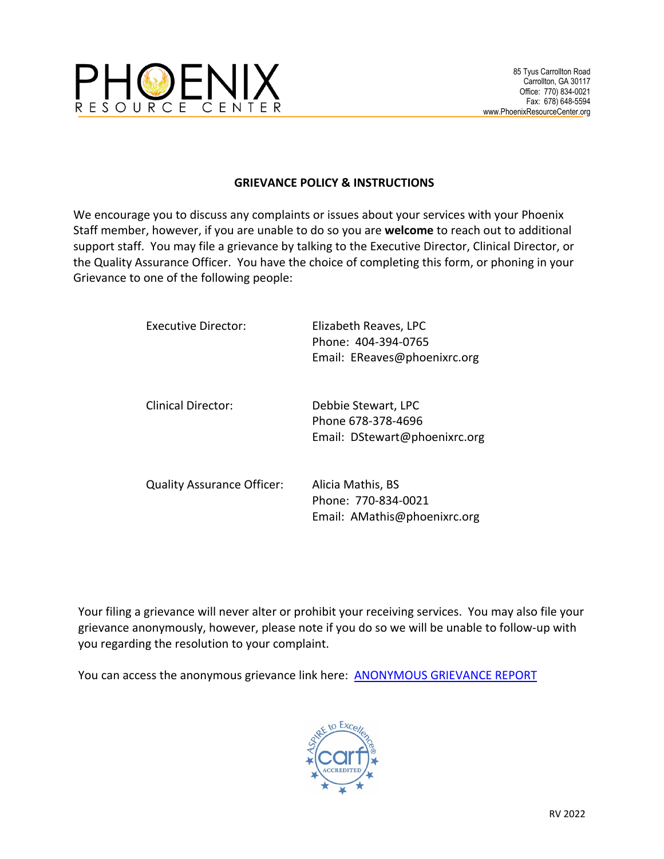

## **GRIEVANCE POLICY & INSTRUCTIONS**

We encourage you to discuss any complaints or issues about your services with your Phoenix Staff member, however, if you are unable to do so you are **welcome** to reach out to additional support staff. You may file a grievance by talking to the Executive Director, Clinical Director, or the Quality Assurance Officer. You have the choice of completing this form, or phoning in your Grievance to one of the following people:

| Executive Director:               | Elizabeth Reaves, LPC<br>Phone: 404-394-0765<br>Email: EReaves@phoenixrc.org |
|-----------------------------------|------------------------------------------------------------------------------|
| Clinical Director:                | Debbie Stewart, LPC<br>Phone 678-378-4696<br>Email: DStewart@phoenixrc.org   |
| <b>Quality Assurance Officer:</b> | Alicia Mathis, BS<br>Phone: 770-834-0021<br>Email: AMathis@phoenixrc.org     |

Your filing a grievance will never alter or prohibit your receiving services. You may also file your grievance anonymously, however, please note if you do so we will be unable to follow-up with you regarding the resolution to your complaint.

You can access the anonymous grievance link here: ANONYMOUS GRIEVANCE REPORT

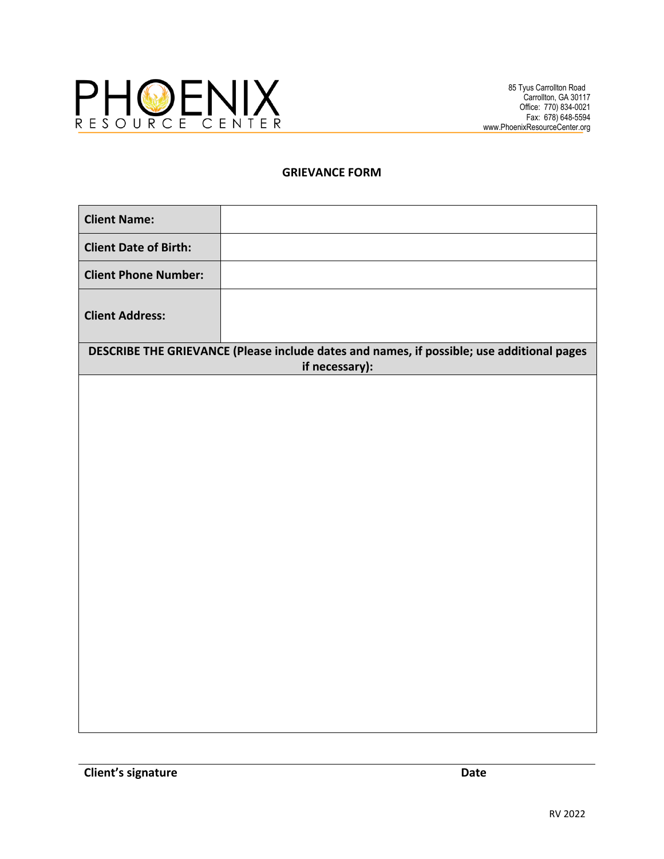

## **GRIEVANCE FORM**

| <b>Client Name:</b>                                                                                         |  |  |
|-------------------------------------------------------------------------------------------------------------|--|--|
| <b>Client Date of Birth:</b>                                                                                |  |  |
| <b>Client Phone Number:</b>                                                                                 |  |  |
| <b>Client Address:</b>                                                                                      |  |  |
| DESCRIBE THE GRIEVANCE (Please include dates and names, if possible; use additional pages<br>if necessary): |  |  |
|                                                                                                             |  |  |
|                                                                                                             |  |  |
|                                                                                                             |  |  |
|                                                                                                             |  |  |
|                                                                                                             |  |  |
|                                                                                                             |  |  |
|                                                                                                             |  |  |
|                                                                                                             |  |  |
|                                                                                                             |  |  |
|                                                                                                             |  |  |
|                                                                                                             |  |  |
|                                                                                                             |  |  |